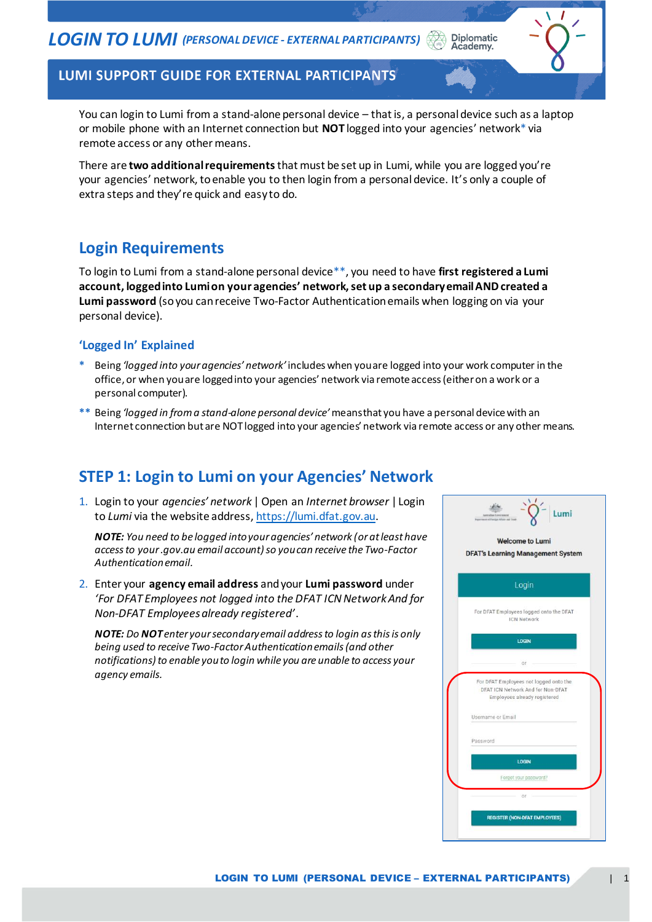LUMI SUPPORT GUIDE FOR EXTERNAL PARTICIPANTS

You can login to Lumi from a stand-alone personal device – that is, a personal device such as a laptop or mobile phone with an Internet connection but **NOT** logged into your agencies' network\* via remote access or any other means.

**Diplomatic** Academy.

There are **two additional requirements**that must be set up in Lumi, while you are logged you're your agencies' network, to enable you to then login from a personal device. It's only a couple of extra steps and they're quick and easy to do.

### **Login Requirements**

To login to Lumi from a stand-alone personal device\*\*, you need to have **first registered a Lumi account, logged into Lumi on your agencies' network, set up a secondary email AND created a Lumi password** (so you can receive Two-Factor Authentication emails when logging on via your personal device).

#### **'Logged In' Explained**

- **\*** Being *'logged into your agencies' network'* includes when you are logged into your work computer in the office, or when you are logged into your agencies' network via remote access (either on a work or a personal computer).
- **\*\*** Being *'logged in from a stand-alone personal device'*means that you have a personal device with an Internet connection but are NOT logged into your agencies' network via remote access or any other means.

#### **STEP 1: Login to Lumi on your Agencies' Network**

1. Login to your *agencies' network* | Open an *Internet browser* | Login to *Lumi* via the website address[, https://lumi.dfat.gov.au](https://lumi.dfat.gov.au/).

*NOTE: You need to be logged into your agencies' network (or at least have access to your .gov.au email account)so you can receive the Two-Factor Authentication email.*

2. Enter your **agency email address** and your **Lumi password** under *'For DFAT Employees not logged into the DFAT ICN Network And for Non-DFAT Employees already registered'*.

*NOTE: Do NOT enter your secondary email address to login as this is only being used to receive Two-Factor Authentication emails (and other notifications) to enable you to login while you are unable to access your agency emails.*

| <b>DFAT's Learning Management System</b>                                                                    |
|-------------------------------------------------------------------------------------------------------------|
| Login                                                                                                       |
| For DFAT Employees logged onto the DFAT<br><b>ICN Network</b>                                               |
| <b>LOGIN</b>                                                                                                |
| OF:                                                                                                         |
| For DFAT Employees not logged onto the<br>DFAT ICN Network And for Non-DFAT<br>Employees already registered |
| Username or Email                                                                                           |
| Password                                                                                                    |
| <b>LOGIN</b>                                                                                                |
| Forgot your password?                                                                                       |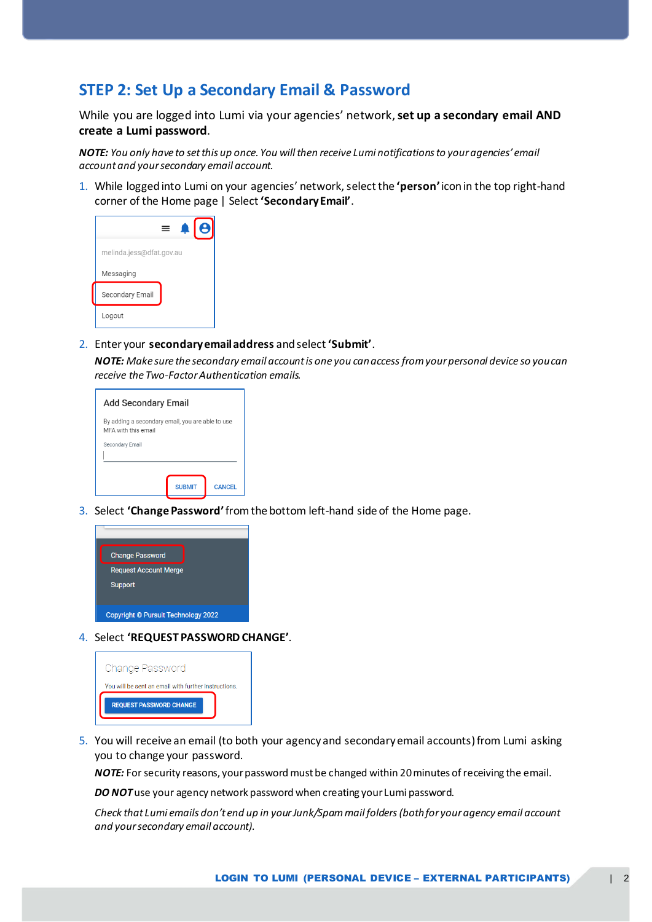#### **STEP 2: Set Up a Secondary Email & Password**

While you are logged into Lumi via your agencies' network, **set up a secondary email AND create a Lumi password**.

*NOTE: You only have to set this up once. You will then receive Lumi notifications to your agencies' email account and your secondary email account.*

1. While logged into Lumi on your agencies' network, select the **'person'**icon in the top right-hand corner of the Home page | Select **'Secondary Email'**.



2. Enter your **secondary email address** and select **'Submit'**.

*NOTE: Make sure the secondary email account is one you can access from your personal device so you can receive the Two-Factor Authentication emails.*

| Add Secondary Email                                                     |               |               |
|-------------------------------------------------------------------------|---------------|---------------|
| By adding a secondary email, you are able to use<br>MFA with this email |               |               |
| Secondary Email                                                         |               |               |
|                                                                         | <b>SURMIT</b> | <b>CANCEL</b> |

3. Select **'Change Password'**from the bottom left-hand side of the Home page.



4. Select **'REQUEST PASSWORD CHANGE'**.

| Change Password                                      |
|------------------------------------------------------|
| You will be sent an email with further instructions. |
| <b>REQUEST PASSWORD CHANGE</b>                       |

5. You will receive an email (to both your agency and secondary email accounts) from Lumi asking you to change your password.

*NOTE:* For security reasons, your password must be changed within 20 minutes of receiving the email.

**DO NOT** use your agency network password when creating your Lumi password.

*Check that Lumi emails don't end up in your Junk/Spam mail folders (both for your agency email account and your secondary email account).*